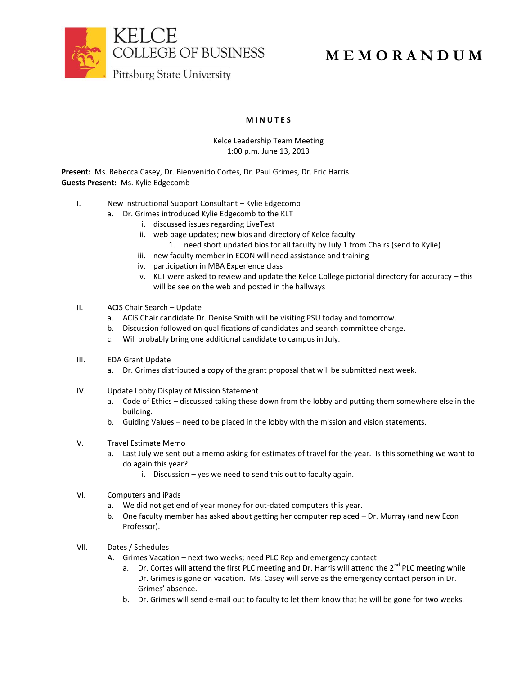

## **M E M O R A N D U M**

## **M I N U T E S**

## Kelce Leadership Team Meeting 1:00 p.m. June 13, 2013

**Present:** Ms. Rebecca Casey, Dr. Bienvenido Cortes, Dr. Paul Grimes, Dr. Eric Harris **Guests Present:** Ms. Kylie Edgecomb

- I. New Instructional Support Consultant Kylie Edgecomb
	- a. Dr. Grimes introduced Kylie Edgecomb to the KLT
		- i. discussed issues regarding LiveText
		- ii. web page updates; new bios and directory of Kelce faculty
			- 1. need short updated bios for all faculty by July 1 from Chairs (send to Kylie)
		- iii. new faculty member in ECON will need assistance and training
		- iv. participation in MBA Experience class
		- v. KLT were asked to review and update the Kelce College pictorial directory for accuracy this will be see on the web and posted in the hallways
- II. ACIS Chair Search Update
	- a. ACIS Chair candidate Dr. Denise Smith will be visiting PSU today and tomorrow.
	- b. Discussion followed on qualifications of candidates and search committee charge.
	- c. Will probably bring one additional candidate to campus in July.
- III. EDA Grant Update
	- a. Dr. Grimes distributed a copy of the grant proposal that will be submitted next week.
- IV. Update Lobby Display of Mission Statement
	- a. Code of Ethics discussed taking these down from the lobby and putting them somewhere else in the building.
	- b. Guiding Values need to be placed in the lobby with the mission and vision statements.
- V. Travel Estimate Memo
	- a. Last July we sent out a memo asking for estimates of travel for the year. Is this something we want to do again this year?
		- i. Discussion yes we need to send this out to faculty again.
- VI. Computers and iPads
	- a. We did not get end of year money for out-dated computers this year.
	- b. One faculty member has asked about getting her computer replaced Dr. Murray (and new Econ Professor).
- VII. Dates / Schedules
	- A. Grimes Vacation next two weeks; need PLC Rep and emergency contact
		- a. Dr. Cortes will attend the first PLC meeting and Dr. Harris will attend the  $2^{nd}$  PLC meeting while Dr. Grimes is gone on vacation. Ms. Casey will serve as the emergency contact person in Dr. Grimes' absence.
		- b. Dr. Grimes will send e-mail out to faculty to let them know that he will be gone for two weeks.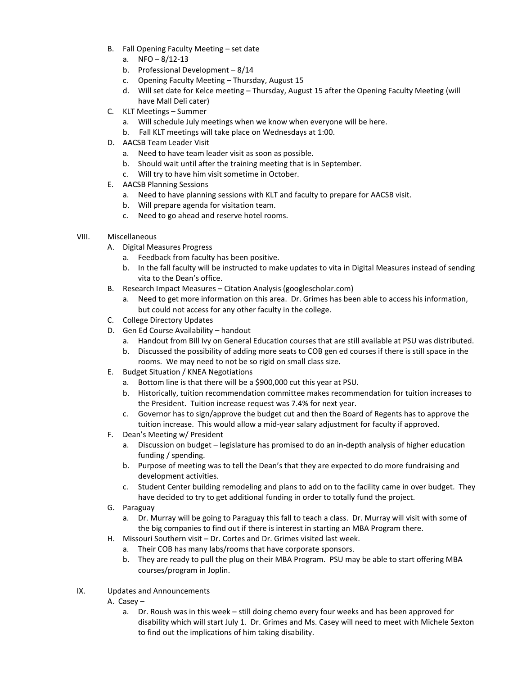- B. Fall Opening Faculty Meeting set date
	- a.  $NFO 8/12-13$
	- b. Professional Development 8/14
	- c. Opening Faculty Meeting Thursday, August 15
	- d. Will set date for Kelce meeting Thursday, August 15 after the Opening Faculty Meeting (will have Mall Deli cater)
- C. KLT Meetings Summer
	- a. Will schedule July meetings when we know when everyone will be here.
	- b. Fall KLT meetings will take place on Wednesdays at 1:00.
- D. AACSB Team Leader Visit
	- a. Need to have team leader visit as soon as possible.
	- b. Should wait until after the training meeting that is in September.
	- c. Will try to have him visit sometime in October.
- E. AACSB Planning Sessions
	- a. Need to have planning sessions with KLT and faculty to prepare for AACSB visit.
	- b. Will prepare agenda for visitation team.
	- c. Need to go ahead and reserve hotel rooms.
- VIII. Miscellaneous
	- A. Digital Measures Progress
		- a. Feedback from faculty has been positive.
		- b. In the fall faculty will be instructed to make updates to vita in Digital Measures instead of sending vita to the Dean's office.
	- B. Research Impact Measures Citation Analysis (googlescholar.com)
		- a. Need to get more information on this area. Dr. Grimes has been able to access his information, but could not access for any other faculty in the college.
	- C. College Directory Updates
	- D. Gen Ed Course Availability handout
		- a. Handout from Bill Ivy on General Education courses that are still available at PSU was distributed.
		- b. Discussed the possibility of adding more seats to COB gen ed courses if there is still space in the rooms. We may need to not be so rigid on small class size.
	- E. Budget Situation / KNEA Negotiations
		- a. Bottom line is that there will be a \$900,000 cut this year at PSU.
		- b. Historically, tuition recommendation committee makes recommendation for tuition increases to the President. Tuition increase request was 7.4% for next year.
		- c. Governor has to sign/approve the budget cut and then the Board of Regents has to approve the tuition increase. This would allow a mid-year salary adjustment for faculty if approved.
	- F. Dean's Meeting w/ President
		- a. Discussion on budget legislature has promised to do an in-depth analysis of higher education funding / spending.
		- b. Purpose of meeting was to tell the Dean's that they are expected to do more fundraising and development activities.
		- c. Student Center building remodeling and plans to add on to the facility came in over budget. They have decided to try to get additional funding in order to totally fund the project.
	- G. Paraguay
		- a. Dr. Murray will be going to Paraguay this fall to teach a class. Dr. Murray will visit with some of the big companies to find out if there is interest in starting an MBA Program there.
	- H. Missouri Southern visit Dr. Cortes and Dr. Grimes visited last week.
		- a. Their COB has many labs/rooms that have corporate sponsors.
		- b. They are ready to pull the plug on their MBA Program. PSU may be able to start offering MBA courses/program in Joplin.
- IX. Updates and Announcements
	- A. Casey
		- a. Dr. Roush was in this week still doing chemo every four weeks and has been approved for disability which will start July 1. Dr. Grimes and Ms. Casey will need to meet with Michele Sexton to find out the implications of him taking disability.